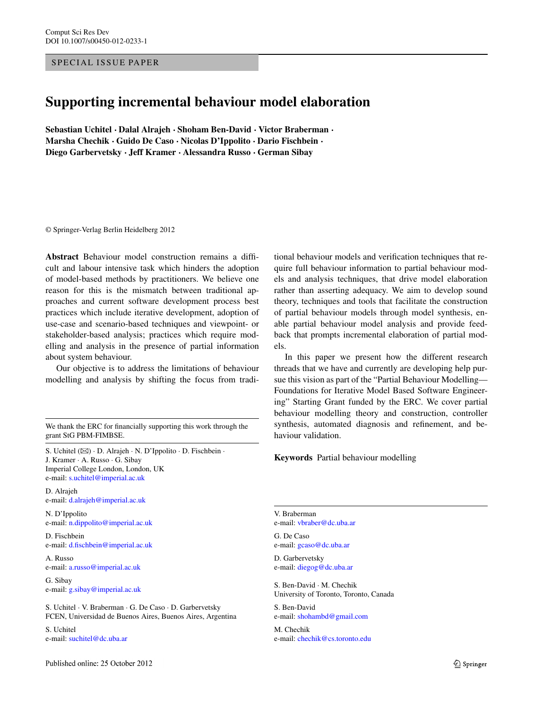# SPECIAL ISSUE PAPER

# **Supporting incremental behaviour model elaboration**

**Sebastian Uchitel · Dalal Alrajeh · Shoham Ben-David · Victor Braberman · Marsha Chechik · Guido De Caso · Nicolas D'Ippolito · Dario Fischbein · Diego Garbervetsky · Jeff Kramer · Alessandra Russo · German Sibay**

© Springer-Verlag Berlin Heidelberg 2012

**Abstract** Behaviour model construction remains a difficult and labour intensive task which hinders the adoption of model-based methods by practitioners. We believe one reason for this is the mismatch between traditional approaches and current software development process best practices which include iterative development, adoption of use-case and scenario-based techniques and viewpoint- or stakeholder-based analysis; practices which require modelling and analysis in the presence of partial information about system behaviour.

Our objective is to address the limitations of behaviour modelling and analysis by shifting the focus from tradi-

We thank the ERC for financially supporting this work through the grant StG PBM-FIMBSE.

S. Uchitel ( $\boxtimes$ ) · D. Alrajeh · N. D'Ippolito · D. Fischbein · J. Kramer · A. Russo · G. Sibay Imperial College London, London, UK e-mail: [s.uchitel@imperial.ac.uk](mailto:s.uchitel@imperial.ac.uk)

D. Alrajeh e-mail: [d.alrajeh@imperial.ac.uk](mailto:d.alrajeh@imperial.ac.uk)

N. D'Ippolito e-mail: [n.dippolito@imperial.ac.uk](mailto:n.dippolito@imperial.ac.uk)

D. Fischbein e-mail: [d.fischbein@imperial.ac.uk](mailto:d.fischbein@imperial.ac.uk)

A. Russo e-mail: [a.russo@imperial.ac.uk](mailto:a.russo@imperial.ac.uk)

G. Sibay e-mail: [g.sibay@imperial.ac.uk](mailto:g.sibay@imperial.ac.uk)

S. Uchitel · V. Braberman · G. De Caso · D. Garbervetsky FCEN, Universidad de Buenos Aires, Buenos Aires, Argentina

S. Uchitel e-mail: [suchitel@dc.uba.ar](mailto:suchitel@dc.uba.ar) tional behaviour models and verification techniques that require full behaviour information to partial behaviour models and analysis techniques, that drive model elaboration rather than asserting adequacy. We aim to develop sound theory, techniques and tools that facilitate the construction of partial behaviour models through model synthesis, enable partial behaviour model analysis and provide feedback that prompts incremental elaboration of partial models.

In this paper we present how the different research threads that we have and currently are developing help pursue this vision as part of the "Partial Behaviour Modelling— Foundations for Iterative Model Based Software Engineering" Starting Grant funded by the ERC. We cover partial behaviour modelling theory and construction, controller synthesis, automated diagnosis and refinement, and behaviour validation.

**Keywords** Partial behaviour modelling

V. Braberman e-mail: [vbraber@dc.uba.ar](mailto:vbraber@dc.uba.ar)

G. De Caso e-mail: [gcaso@dc.uba.ar](mailto:gcaso@dc.uba.ar)

D. Garbervetsky e-mail: [diegog@dc.uba.ar](mailto:diegog@dc.uba.ar)

S. Ben-David · M. Chechik University of Toronto, Toronto, Canada

S. Ben-David e-mail: [shohambd@gmail.com](mailto:shohambd@gmail.com)

M. Chechik e-mail: [chechik@cs.toronto.edu](mailto:chechik@cs.toronto.edu)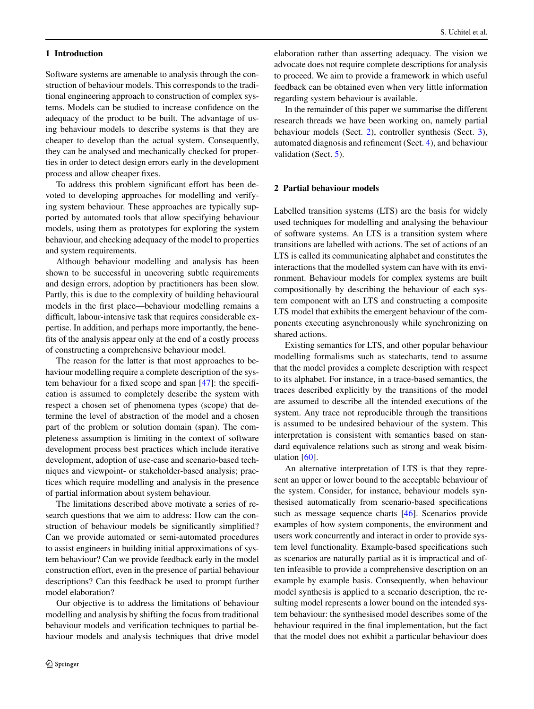# **1 Introduction**

Software systems are amenable to analysis through the construction of behaviour models. This corresponds to the traditional engineering approach to construction of complex systems. Models can be studied to increase confidence on the adequacy of the product to be built. The advantage of using behaviour models to describe systems is that they are cheaper to develop than the actual system. Consequently, they can be analysed and mechanically checked for properties in order to detect design errors early in the development process and allow cheaper fixes.

To address this problem significant effort has been devoted to developing approaches for modelling and verifying system behaviour. These approaches are typically supported by automated tools that allow specifying behaviour models, using them as prototypes for exploring the system behaviour, and checking adequacy of the model to properties and system requirements.

Although behaviour modelling and analysis has been shown to be successful in uncovering subtle requirements and design errors, adoption by practitioners has been slow. Partly, this is due to the complexity of building behavioural models in the first place—behaviour modelling remains a difficult, labour-intensive task that requires considerable expertise. In addition, and perhaps more importantly, the benefits of the analysis appear only at the end of a costly process of constructing a comprehensive behaviour model.

The reason for the latter is that most approaches to behaviour modelling require a complete description of the system behaviour for a fixed scope and span [\[47](#page-11-0)]: the specification is assumed to completely describe the system with respect a chosen set of phenomena types (scope) that determine the level of abstraction of the model and a chosen part of the problem or solution domain (span). The completeness assumption is limiting in the context of software development process best practices which include iterative development, adoption of use-case and scenario-based techniques and viewpoint- or stakeholder-based analysis; practices which require modelling and analysis in the presence of partial information about system behaviour.

The limitations described above motivate a series of research questions that we aim to address: How can the construction of behaviour models be significantly simplified? Can we provide automated or semi-automated procedures to assist engineers in building initial approximations of system behaviour? Can we provide feedback early in the model construction effort, even in the presence of partial behaviour descriptions? Can this feedback be used to prompt further model elaboration?

Our objective is to address the limitations of behaviour modelling and analysis by shifting the focus from traditional behaviour models and verification techniques to partial behaviour models and analysis techniques that drive model elaboration rather than asserting adequacy. The vision we advocate does not require complete descriptions for analysis to proceed. We aim to provide a framework in which useful feedback can be obtained even when very little information regarding system behaviour is available.

<span id="page-1-0"></span>In the remainder of this paper we summarise the different research threads we have been working on, namely partial behaviour models (Sect. [2\)](#page-1-0), controller synthesis (Sect. [3](#page-3-0)), automated diagnosis and refinement (Sect. [4](#page-4-0)), and behaviour validation (Sect. [5](#page-8-0)).

#### **2 Partial behaviour models**

Labelled transition systems (LTS) are the basis for widely used techniques for modelling and analysing the behaviour of software systems. An LTS is a transition system where transitions are labelled with actions. The set of actions of an LTS is called its communicating alphabet and constitutes the interactions that the modelled system can have with its environment. Behaviour models for complex systems are built compositionally by describing the behaviour of each system component with an LTS and constructing a composite LTS model that exhibits the emergent behaviour of the components executing asynchronously while synchronizing on shared actions.

Existing semantics for LTS, and other popular behaviour modelling formalisms such as statecharts, tend to assume that the model provides a complete description with respect to its alphabet. For instance, in a trace-based semantics, the traces described explicitly by the transitions of the model are assumed to describe all the intended executions of the system. Any trace not reproducible through the transitions is assumed to be undesired behaviour of the system. This interpretation is consistent with semantics based on standard equivalence relations such as strong and weak bisimulation  $[60]$  $[60]$ .

An alternative interpretation of LTS is that they represent an upper or lower bound to the acceptable behaviour of the system. Consider, for instance, behaviour models synthesised automatically from scenario-based specifications such as message sequence charts [[46\]](#page-11-1). Scenarios provide examples of how system components, the environment and users work concurrently and interact in order to provide system level functionality. Example-based specifications such as scenarios are naturally partial as it is impractical and often infeasible to provide a comprehensive description on an example by example basis. Consequently, when behaviour model synthesis is applied to a scenario description, the resulting model represents a lower bound on the intended system behaviour: the synthesised model describes some of the behaviour required in the final implementation, but the fact that the model does not exhibit a particular behaviour does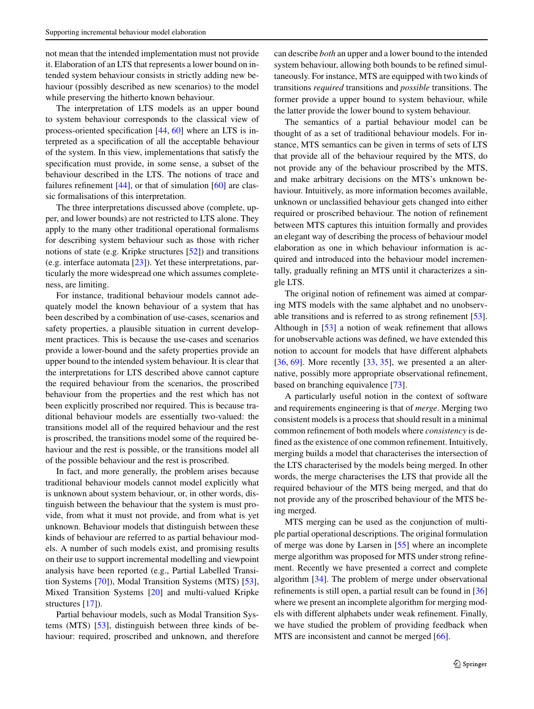not mean that the intended implementation must not provide it. Elaboration of an LTS that represents a lower bound on intended system behaviour consists in strictly adding new behaviour (possibly described as new scenarios) to the model while preserving the hitherto known behaviour.

The interpretation of LTS models as an upper bound to system behaviour corresponds to the classical view of process-oriented specification [[44,](#page-11-2) [60\]](#page-12-0) where an LTS is interpreted as a specification of all the acceptable behaviour of the system. In this view, implementations that satisfy the specification must provide, in some sense, a subset of the behaviour described in the LTS. The notions of trace and failures refinement  $[44]$  $[44]$ , or that of simulation  $[60]$  are classic formalisations of this interpretation.

The three interpretations discussed above (complete, upper, and lower bounds) are not restricted to LTS alone. They apply to the many other traditional operational formalisms for describing system behaviour such as those with richer notions of state (e.g. Kripke structures [[52\]](#page-11-3)) and transitions (e.g. interface automata [\[23](#page-11-4)]). Yet these interpretations, particularly the more widespread one which assumes completeness, are limiting.

For instance, traditional behaviour models cannot adequately model the known behaviour of a system that has been described by a combination of use-cases, scenarios and safety properties, a plausible situation in current development practices. This is because the use-cases and scenarios provide a lower-bound and the safety properties provide an upper bound to the intended system behaviour. It is clear that the interpretations for LTS described above cannot capture the required behaviour from the scenarios, the proscribed behaviour from the properties and the rest which has not been explicitly proscribed nor required. This is because traditional behaviour models are essentially two-valued: the transitions model all of the required behaviour and the rest is proscribed, the transitions model some of the required behaviour and the rest is possible, or the transitions model all of the possible behaviour and the rest is proscribed.

In fact, and more generally, the problem arises because traditional behaviour models cannot model explicitly what is unknown about system behaviour, or, in other words, distinguish between the behaviour that the system is must provide, from what it must not provide, and from what is yet unknown. Behaviour models that distinguish between these kinds of behaviour are referred to as partial behaviour models. A number of such models exist, and promising results on their use to support incremental modelling and viewpoint analysis have been reported (e.g., Partial Labelled Transition Systems [[70\]](#page-12-1)), Modal Transition Systems (MTS) [\[53](#page-11-5)], Mixed Transition Systems [\[20](#page-11-6)] and multi-valued Kripke structures [\[17](#page-11-7)]).

Partial behaviour models, such as Modal Transition Systems (MTS) [\[53](#page-11-5)], distinguish between three kinds of behaviour: required, proscribed and unknown, and therefore can describe *both* an upper and a lower bound to the intended system behaviour, allowing both bounds to be refined simultaneously. For instance, MTS are equipped with two kinds of transitions *required* transitions and *possible* transitions. The former provide a upper bound to system behaviour, while the latter provide the lower bound to system behaviour.

The semantics of a partial behaviour model can be thought of as a set of traditional behaviour models. For instance, MTS semantics can be given in terms of sets of LTS that provide all of the behaviour required by the MTS, do not provide any of the behaviour proscribed by the MTS, and make arbitrary decisions on the MTS's unknown behaviour. Intuitively, as more information becomes available, unknown or unclassified behaviour gets changed into either required or proscribed behaviour. The notion of refinement between MTS captures this intuition formally and provides an elegant way of describing the process of behaviour model elaboration as one in which behaviour information is acquired and introduced into the behaviour model incrementally, gradually refining an MTS until it characterizes a single LTS.

The original notion of refinement was aimed at comparing MTS models with the same alphabet and no unobservable transitions and is referred to as strong refinement [\[53](#page-11-5)]. Although in [\[53\]](#page-11-5) a notion of weak refinement that allows for unobservable actions was defined, we have extended this notion to account for models that have different alphabets [\[36](#page-11-8), [69](#page-12-2)]. More recently  $[33, 35]$  $[33, 35]$  $[33, 35]$  $[33, 35]$ , we presented a an alternative, possibly more appropriate observational refinement, based on branching equivalence [[73\]](#page-12-3).

A particularly useful notion in the context of software and requirements engineering is that of *merge*. Merging two consistent models is a process that should result in a minimal common refinement of both models where *consistency* is defined as the existence of one common refinement. Intuitively, merging builds a model that characterises the intersection of the LTS characterised by the models being merged. In other words, the merge characterises the LTS that provide all the required behaviour of the MTS being merged, and that do not provide any of the proscribed behaviour of the MTS being merged.

MTS merging can be used as the conjunction of multiple partial operational descriptions. The original formulation of merge was done by Larsen in [\[55](#page-11-11)] where an incomplete merge algorithm was proposed for MTS under strong refinement. Recently we have presented a correct and complete algorithm [\[34](#page-11-12)]. The problem of merge under observational refinements is still open, a partial result can be found in [[36\]](#page-11-8) where we present an incomplete algorithm for merging models with different alphabets under weak refinement. Finally, we have studied the problem of providing feedback when MTS are inconsistent and cannot be merged [[66\]](#page-12-4).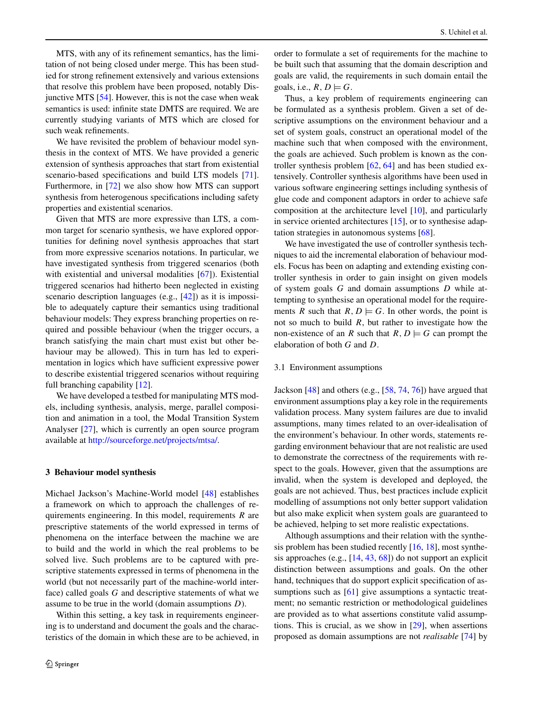MTS, with any of its refinement semantics, has the limitation of not being closed under merge. This has been studied for strong refinement extensively and various extensions that resolve this problem have been proposed, notably Disjunctive MTS [[54\]](#page-11-13). However, this is not the case when weak semantics is used: infinite state DMTS are required. We are currently studying variants of MTS which are closed for such weak refinements.

We have revisited the problem of behaviour model synthesis in the context of MTS. We have provided a generic extension of synthesis approaches that start from existential scenario-based specifications and build LTS models [\[71](#page-12-5)]. Furthermore, in [\[72](#page-12-6)] we also show how MTS can support synthesis from heterogenous specifications including safety properties and existential scenarios.

Given that MTS are more expressive than LTS, a common target for scenario synthesis, we have explored opportunities for defining novel synthesis approaches that start from more expressive scenarios notations. In particular, we have investigated synthesis from triggered scenarios (both with existential and universal modalities [\[67](#page-12-7)]). Existential triggered scenarios had hitherto been neglected in existing scenario description languages (e.g., [[42\]](#page-11-14)) as it is impossible to adequately capture their semantics using traditional behaviour models: They express branching properties on required and possible behaviour (when the trigger occurs, a branch satisfying the main chart must exist but other behaviour may be allowed). This in turn has led to experimentation in logics which have sufficient expressive power to describe existential triggered scenarios without requiring full branching capability [[12\]](#page-10-0).

<span id="page-3-0"></span>We have developed a testbed for manipulating MTS models, including synthesis, analysis, merge, parallel composition and animation in a tool, the Modal Transition System Analyser [[27\]](#page-11-15), which is currently an open source program available at [http://sourceforge.net/projects/mtsa/.](http://sourceforge.net/projects/mtsa/)

#### **3 Behaviour model synthesis**

Michael Jackson's Machine-World model [[48](#page-11-16)] establishes a framework on which to approach the challenges of requirements engineering. In this model, requirements *R* are prescriptive statements of the world expressed in terms of phenomena on the interface between the machine we are to build and the world in which the real problems to be solved live. Such problems are to be captured with prescriptive statements expressed in terms of phenomena in the world (but not necessarily part of the machine-world interface) called goals *G* and descriptive statements of what we assume to be true in the world (domain assumptions *D*).

Within this setting, a key task in requirements engineering is to understand and document the goals and the characteristics of the domain in which these are to be achieved, in order to formulate a set of requirements for the machine to be built such that assuming that the domain description and goals are valid, the requirements in such domain entail the goals, i.e.,  $R, D \models G$ .

Thus, a key problem of requirements engineering can be formulated as a synthesis problem. Given a set of descriptive assumptions on the environment behaviour and a set of system goals, construct an operational model of the machine such that when composed with the environment, the goals are achieved. Such problem is known as the controller synthesis problem [[62](#page-12-8), [64](#page-12-9)] and has been studied extensively. Controller synthesis algorithms have been used in various software engineering settings including synthesis of glue code and component adaptors in order to achieve safe composition at the architecture level [\[10\]](#page-10-1), and particularly in service oriented architectures  $[15]$  $[15]$ , or to synthesise adaptation strategies in autonomous systems [[68\]](#page-12-10).

We have investigated the use of controller synthesis techniques to aid the incremental elaboration of behaviour models. Focus has been on adapting and extending existing controller synthesis in order to gain insight on given models of system goals *G* and domain assumptions *D* while attempting to synthesise an operational model for the requirements *R* such that  $R, D \models G$ . In other words, the point is not so much to build *R*, but rather to investigate how the non-existence of an *R* such that  $R, D \models G$  can prompt the elaboration of both *G* and *D*.

#### 3.1 Environment assumptions

Jackson [\[48](#page-11-16)] and others (e.g., [\[58](#page-12-11), [74](#page-12-12), [76](#page-12-13)]) have argued that environment assumptions play a key role in the requirements validation process. Many system failures are due to invalid assumptions, many times related to an over-idealisation of the environment's behaviour. In other words, statements regarding environment behaviour that are not realistic are used to demonstrate the correctness of the requirements with respect to the goals. However, given that the assumptions are invalid, when the system is developed and deployed, the goals are not achieved. Thus, best practices include explicit modelling of assumptions not only better support validation but also make explicit when system goals are guaranteed to be achieved, helping to set more realistic expectations.

Although assumptions and their relation with the synthesis problem has been studied recently [[16,](#page-11-18) [18\]](#page-11-19), most synthesis approaches (e.g., [[14,](#page-11-20) [43,](#page-11-21) [68](#page-12-10)]) do not support an explicit distinction between assumptions and goals. On the other hand, techniques that do support explicit specification of as-sumptions such as [[61\]](#page-12-14) give assumptions a syntactic treatment; no semantic restriction or methodological guidelines are provided as to what assertions constitute valid assumptions. This is crucial, as we show in [[29\]](#page-11-22), when assertions proposed as domain assumptions are not *realisable* [[74\]](#page-12-12) by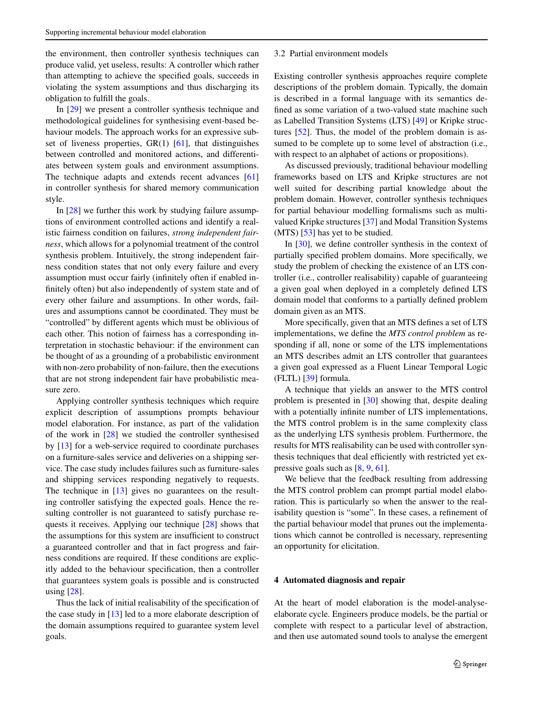the environment, then controller synthesis techniques can produce valid, yet useless, results: A controller which rather than attempting to achieve the specified goals, succeeds in violating the system assumptions and thus discharging its obligation to fulfill the goals.

In [[29\]](#page-11-22) we present a controller synthesis technique and methodological guidelines for synthesising event-based behaviour models. The approach works for an expressive subset of liveness properties,  $GR(1)$  [[61\]](#page-12-14), that distinguishes between controlled and monitored actions, and differentiates between system goals and environment assumptions. The technique adapts and extends recent advances [[61\]](#page-12-14) in controller synthesis for shared memory communication style.

In [\[28](#page-11-23)] we further this work by studying failure assumptions of environment controlled actions and identify a realistic fairness condition on failures, *strong independent fairness*, which allows for a polynomial treatment of the control synthesis problem. Intuitively, the strong independent fairness condition states that not only every failure and every assumption must occur fairly (infinitely often if enabled infinitely often) but also independently of system state and of every other failure and assumptions. In other words, failures and assumptions cannot be coordinated. They must be "controlled" by different agents which must be oblivious of each other. This notion of fairness has a corresponding interpretation in stochastic behaviour: if the environment can be thought of as a grounding of a probabilistic environment with non-zero probability of non-failure, then the executions that are not strong independent fair have probabilistic measure zero.

Applying controller synthesis techniques which require explicit description of assumptions prompts behaviour model elaboration. For instance, as part of the validation of the work in [[28\]](#page-11-23) we studied the controller synthesised by [\[13](#page-11-24)] for a web-service required to coordinate purchases on a furniture-sales service and deliveries on a shipping service. The case study includes failures such as furniture-sales and shipping services responding negatively to requests. The technique in [\[13\]](#page-11-24) gives no guarantees on the resulting controller satisfying the expected goals. Hence the resulting controller is not guaranteed to satisfy purchase requests it receives. Applying our technique [\[28](#page-11-23)] shows that the assumptions for this system are insufficient to construct a guaranteed controller and that in fact progress and fairness conditions are required. If these conditions are explicitly added to the behaviour specification, then a controller that guarantees system goals is possible and is constructed using [\[28](#page-11-23)].

Thus the lack of initial realisability of the specification of the case study in [\[13](#page-11-24)] led to a more elaborate description of the domain assumptions required to guarantee system level goals.

#### 3.2 Partial environment models

Existing controller synthesis approaches require complete descriptions of the problem domain. Typically, the domain is described in a formal language with its semantics defined as some variation of a two-valued state machine such as Labelled Transition Systems (LTS) [[49\]](#page-11-25) or Kripke structures [\[52](#page-11-3)]. Thus, the model of the problem domain is assumed to be complete up to some level of abstraction (i.e., with respect to an alphabet of actions or propositions).

As discussed previously, traditional behaviour modelling frameworks based on LTS and Kripke structures are not well suited for describing partial knowledge about the problem domain. However, controller synthesis techniques for partial behaviour modelling formalisms such as multivalued Kripke structures [\[37](#page-11-26)] and Modal Transition Systems (MTS) [[53\]](#page-11-5) has yet to be studied.

In [[30\]](#page-11-27), we define controller synthesis in the context of partially specified problem domains. More specifically, we study the problem of checking the existence of an LTS controller (i.e., controller realisability) capable of guaranteeing a given goal when deployed in a completely defined LTS domain model that conforms to a partially defined problem domain given as an MTS.

More specifically, given that an MTS defines a set of LTS implementations, we define the *MTS control problem* as responding if all, none or some of the LTS implementations an MTS describes admit an LTS controller that guarantees a given goal expressed as a Fluent Linear Temporal Logic (FLTL) [\[39](#page-11-28)] formula.

A technique that yields an answer to the MTS control problem is presented in [[30\]](#page-11-27) showing that, despite dealing with a potentially infinite number of LTS implementations, the MTS control problem is in the same complexity class as the underlying LTS synthesis problem. Furthermore, the results for MTS realisability can be used with controller synthesis techniques that deal efficiently with restricted yet expressive goals such as [[8,](#page-10-2) [9,](#page-10-3) [61\]](#page-12-14).

<span id="page-4-0"></span>We believe that the feedback resulting from addressing the MTS control problem can prompt partial model elaboration. This is particularly so when the answer to the realisability question is "some". In these cases, a refinement of the partial behaviour model that prunes out the implementations which cannot be controlled is necessary, representing an opportunity for elicitation.

# **4 Automated diagnosis and repair**

At the heart of model elaboration is the model-analyseelaborate cycle. Engineers produce models, be the partial or complete with respect to a particular level of abstraction, and then use automated sound tools to analyse the emergent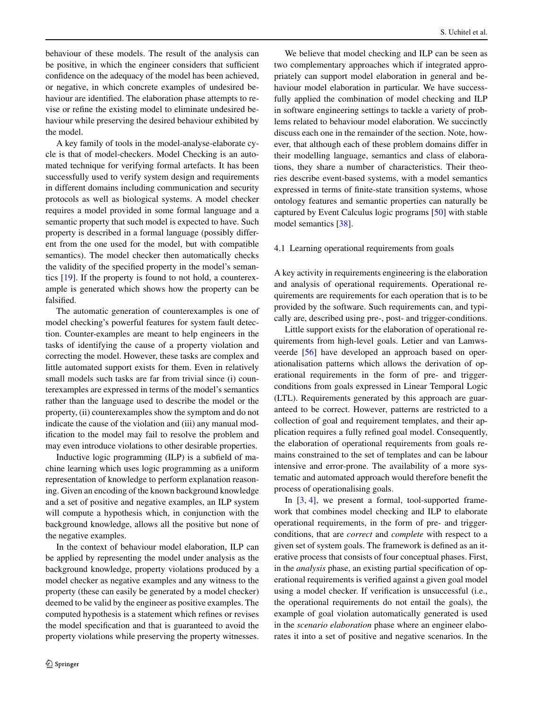behaviour of these models. The result of the analysis can be positive, in which the engineer considers that sufficient confidence on the adequacy of the model has been achieved, or negative, in which concrete examples of undesired behaviour are identified. The elaboration phase attempts to revise or refine the existing model to eliminate undesired behaviour while preserving the desired behaviour exhibited by the model.

A key family of tools in the model-analyse-elaborate cycle is that of model-checkers. Model Checking is an automated technique for verifying formal artefacts. It has been successfully used to verify system design and requirements in different domains including communication and security protocols as well as biological systems. A model checker requires a model provided in some formal language and a semantic property that such model is expected to have. Such property is described in a formal language (possibly different from the one used for the model, but with compatible semantics). The model checker then automatically checks the validity of the specified property in the model's semantics [\[19](#page-11-29)]. If the property is found to not hold, a counterexample is generated which shows how the property can be falsified.

The automatic generation of counterexamples is one of model checking's powerful features for system fault detection. Counter-examples are meant to help engineers in the tasks of identifying the cause of a property violation and correcting the model. However, these tasks are complex and little automated support exists for them. Even in relatively small models such tasks are far from trivial since (i) counterexamples are expressed in terms of the model's semantics rather than the language used to describe the model or the property, (ii) counterexamples show the symptom and do not indicate the cause of the violation and (iii) any manual modification to the model may fail to resolve the problem and may even introduce violations to other desirable properties.

Inductive logic programming (ILP) is a subfield of machine learning which uses logic programming as a uniform representation of knowledge to perform explanation reasoning. Given an encoding of the known background knowledge and a set of positive and negative examples, an ILP system will compute a hypothesis which, in conjunction with the background knowledge, allows all the positive but none of the negative examples.

In the context of behaviour model elaboration, ILP can be applied by representing the model under analysis as the background knowledge, property violations produced by a model checker as negative examples and any witness to the property (these can easily be generated by a model checker) deemed to be valid by the engineer as positive examples. The computed hypothesis is a statement which refines or revises the model specification and that is guaranteed to avoid the property violations while preserving the property witnesses.

We believe that model checking and ILP can be seen as two complementary approaches which if integrated appropriately can support model elaboration in general and behaviour model elaboration in particular. We have successfully applied the combination of model checking and ILP in software engineering settings to tackle a variety of problems related to behaviour model elaboration. We succinctly discuss each one in the remainder of the section. Note, however, that although each of these problem domains differ in their modelling language, semantics and class of elaborations, they share a number of characteristics. Their theories describe event-based systems, with a model semantics expressed in terms of finite-state transition systems, whose ontology features and semantic properties can naturally be captured by Event Calculus logic programs [[50\]](#page-11-30) with stable model semantics [\[38](#page-11-31)].

# 4.1 Learning operational requirements from goals

A key activity in requirements engineering is the elaboration and analysis of operational requirements. Operational requirements are requirements for each operation that is to be provided by the software. Such requirements can, and typically are, described using pre-, post- and trigger-conditions.

Little support exists for the elaboration of operational requirements from high-level goals. Letier and van Lamwsveerde [\[56](#page-12-15)] have developed an approach based on operationalisation patterns which allows the derivation of operational requirements in the form of pre- and triggerconditions from goals expressed in Linear Temporal Logic (LTL). Requirements generated by this approach are guaranteed to be correct. However, patterns are restricted to a collection of goal and requirement templates, and their application requires a fully refined goal model. Consequently, the elaboration of operational requirements from goals remains constrained to the set of templates and can be labour intensive and error-prone. The availability of a more systematic and automated approach would therefore benefit the process of operationalising goals.

In  $[3, 4]$  $[3, 4]$  $[3, 4]$  $[3, 4]$ , we present a formal, tool-supported framework that combines model checking and ILP to elaborate operational requirements, in the form of pre- and triggerconditions, that are *correct* and *complete* with respect to a given set of system goals. The framework is defined as an iterative process that consists of four conceptual phases. First, in the *analysis* phase, an existing partial specification of operational requirements is verified against a given goal model using a model checker. If verification is unsuccessful (i.e., the operational requirements do not entail the goals), the example of goal violation automatically generated is used in the *scenario elaboration* phase where an engineer elaborates it into a set of positive and negative scenarios. In the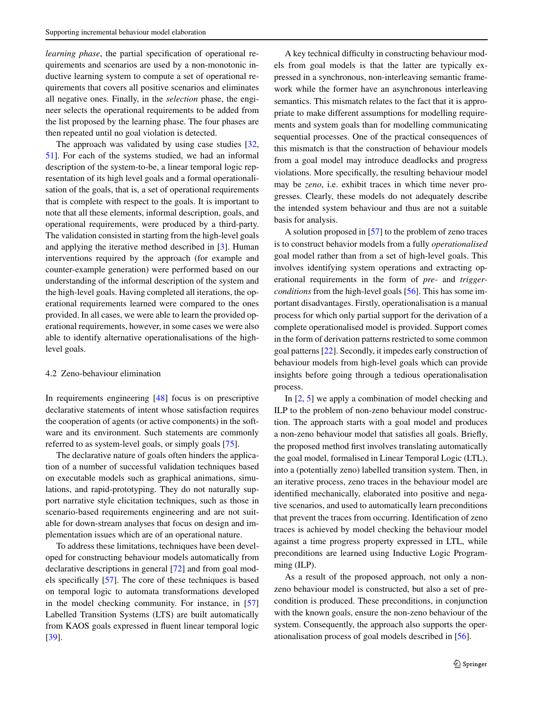*learning phase*, the partial specification of operational requirements and scenarios are used by a non-monotonic inductive learning system to compute a set of operational requirements that covers all positive scenarios and eliminates all negative ones. Finally, in the *selection* phase, the engineer selects the operational requirements to be added from the list proposed by the learning phase. The four phases are then repeated until no goal violation is detected.

The approach was validated by using case studies [\[32](#page-11-32), [51\]](#page-11-33). For each of the systems studied, we had an informal description of the system-to-be, a linear temporal logic representation of its high level goals and a formal operationalisation of the goals, that is, a set of operational requirements that is complete with respect to the goals. It is important to note that all these elements, informal description, goals, and operational requirements, were produced by a third-party. The validation consisted in starting from the high-level goals and applying the iterative method described in [[3\]](#page-10-4). Human interventions required by the approach (for example and counter-example generation) were performed based on our understanding of the informal description of the system and the high-level goals. Having completed all iterations, the operational requirements learned were compared to the ones provided. In all cases, we were able to learn the provided operational requirements, however, in some cases we were also able to identify alternative operationalisations of the highlevel goals.

# 4.2 Zeno-behaviour elimination

In requirements engineering [\[48](#page-11-16)] focus is on prescriptive declarative statements of intent whose satisfaction requires the cooperation of agents (or active components) in the software and its environment. Such statements are commonly referred to as system-level goals, or simply goals [[75\]](#page-12-16).

The declarative nature of goals often hinders the application of a number of successful validation techniques based on executable models such as graphical animations, simulations, and rapid-prototyping. They do not naturally support narrative style elicitation techniques, such as those in scenario-based requirements engineering and are not suitable for down-stream analyses that focus on design and implementation issues which are of an operational nature.

To address these limitations, techniques have been developed for constructing behaviour models automatically from declarative descriptions in general [\[72](#page-12-6)] and from goal models specifically [\[57](#page-12-17)]. The core of these techniques is based on temporal logic to automata transformations developed in the model checking community. For instance, in [[57\]](#page-12-17) Labelled Transition Systems (LTS) are built automatically from KAOS goals expressed in fluent linear temporal logic [\[39](#page-11-28)].

A key technical difficulty in constructing behaviour models from goal models is that the latter are typically expressed in a synchronous, non-interleaving semantic framework while the former have an asynchronous interleaving semantics. This mismatch relates to the fact that it is appropriate to make different assumptions for modelling requirements and system goals than for modelling communicating sequential processes. One of the practical consequences of this mismatch is that the construction of behaviour models from a goal model may introduce deadlocks and progress violations. More specifically, the resulting behaviour model may be *zeno*, i.e. exhibit traces in which time never progresses. Clearly, these models do not adequately describe the intended system behaviour and thus are not a suitable basis for analysis.

A solution proposed in [[57\]](#page-12-17) to the problem of zeno traces is to construct behavior models from a fully *operationalised* goal model rather than from a set of high-level goals. This involves identifying system operations and extracting operational requirements in the form of *pre-* and *triggerconditions* from the high-level goals [[56\]](#page-12-15). This has some important disadvantages. Firstly, operationalisation is a manual process for which only partial support for the derivation of a complete operationalised model is provided. Support comes in the form of derivation patterns restricted to some common goal patterns [[22\]](#page-11-34). Secondly, it impedes early construction of behaviour models from high-level goals which can provide insights before going through a tedious operationalisation process.

In [\[2](#page-10-6), [5](#page-10-7)] we apply a combination of model checking and ILP to the problem of non-zeno behaviour model construction. The approach starts with a goal model and produces a non-zeno behaviour model that satisfies all goals. Briefly, the proposed method first involves translating automatically the goal model, formalised in Linear Temporal Logic (LTL), into a (potentially zeno) labelled transition system. Then, in an iterative process, zeno traces in the behaviour model are identified mechanically, elaborated into positive and negative scenarios, and used to automatically learn preconditions that prevent the traces from occurring. Identification of zeno traces is achieved by model checking the behaviour model against a time progress property expressed in LTL, while preconditions are learned using Inductive Logic Programming (ILP).

As a result of the proposed approach, not only a nonzeno behaviour model is constructed, but also a set of precondition is produced. These preconditions, in conjunction with the known goals, ensure the non-zeno behaviour of the system. Consequently, the approach also supports the operationalisation process of goal models described in [\[56](#page-12-15)].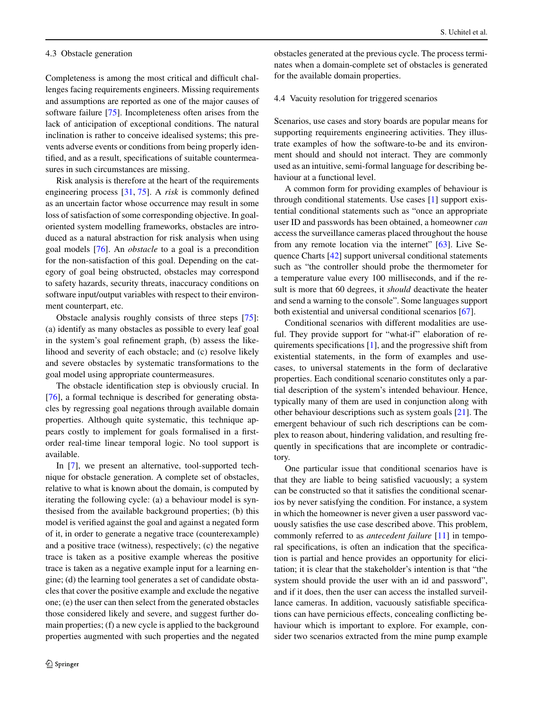#### 4.3 Obstacle generation

Completeness is among the most critical and difficult challenges facing requirements engineers. Missing requirements and assumptions are reported as one of the major causes of software failure [[75\]](#page-12-16). Incompleteness often arises from the lack of anticipation of exceptional conditions. The natural inclination is rather to conceive idealised systems; this prevents adverse events or conditions from being properly identified, and as a result, specifications of suitable countermeasures in such circumstances are missing.

Risk analysis is therefore at the heart of the requirements engineering process [[31,](#page-11-35) [75](#page-12-16)]. A *risk* is commonly defined as an uncertain factor whose occurrence may result in some loss of satisfaction of some corresponding objective. In goaloriented system modelling frameworks, obstacles are introduced as a natural abstraction for risk analysis when using goal models [\[76](#page-12-13)]. An *obstacle* to a goal is a precondition for the non-satisfaction of this goal. Depending on the category of goal being obstructed, obstacles may correspond to safety hazards, security threats, inaccuracy conditions on software input/output variables with respect to their environment counterpart, etc.

Obstacle analysis roughly consists of three steps [[75\]](#page-12-16): (a) identify as many obstacles as possible to every leaf goal in the system's goal refinement graph, (b) assess the likelihood and severity of each obstacle; and (c) resolve likely and severe obstacles by systematic transformations to the goal model using appropriate countermeasures.

The obstacle identification step is obviously crucial. In [\[76](#page-12-13)], a formal technique is described for generating obstacles by regressing goal negations through available domain properties. Although quite systematic, this technique appears costly to implement for goals formalised in a firstorder real-time linear temporal logic. No tool support is available.

In [[7\]](#page-10-8), we present an alternative, tool-supported technique for obstacle generation. A complete set of obstacles, relative to what is known about the domain, is computed by iterating the following cycle: (a) a behaviour model is synthesised from the available background properties; (b) this model is verified against the goal and against a negated form of it, in order to generate a negative trace (counterexample) and a positive trace (witness), respectively; (c) the negative trace is taken as a positive example whereas the positive trace is taken as a negative example input for a learning engine; (d) the learning tool generates a set of candidate obstacles that cover the positive example and exclude the negative one; (e) the user can then select from the generated obstacles those considered likely and severe, and suggest further domain properties; (f) a new cycle is applied to the background properties augmented with such properties and the negated obstacles generated at the previous cycle. The process terminates when a domain-complete set of obstacles is generated for the available domain properties.

## 4.4 Vacuity resolution for triggered scenarios

Scenarios, use cases and story boards are popular means for supporting requirements engineering activities. They illustrate examples of how the software-to-be and its environment should and should not interact. They are commonly used as an intuitive, semi-formal language for describing behaviour at a functional level.

A common form for providing examples of behaviour is through conditional statements. Use cases [[1\]](#page-10-9) support existential conditional statements such as "once an appropriate user ID and passwords has been obtained, a homeowner *can* access the surveillance cameras placed throughout the house from any remote location via the internet" [\[63](#page-12-18)]. Live Sequence Charts [\[42](#page-11-14)] support universal conditional statements such as "the controller should probe the thermometer for a temperature value every 100 milliseconds, and if the result is more that 60 degrees, it *should* deactivate the heater and send a warning to the console". Some languages support both existential and universal conditional scenarios [\[67](#page-12-7)].

Conditional scenarios with different modalities are useful. They provide support for "what-if" elaboration of requirements specifications [\[1](#page-10-9)], and the progressive shift from existential statements, in the form of examples and usecases, to universal statements in the form of declarative properties. Each conditional scenario constitutes only a partial description of the system's intended behaviour. Hence, typically many of them are used in conjunction along with other behaviour descriptions such as system goals [\[21](#page-11-36)]. The emergent behaviour of such rich descriptions can be complex to reason about, hindering validation, and resulting frequently in specifications that are incomplete or contradictory.

One particular issue that conditional scenarios have is that they are liable to being satisfied vacuously; a system can be constructed so that it satisfies the conditional scenarios by never satisfying the condition. For instance, a system in which the homeowner is never given a user password vacuously satisfies the use case described above. This problem, commonly referred to as *antecedent failure* [\[11](#page-10-10)] in temporal specifications, is often an indication that the specification is partial and hence provides an opportunity for elicitation; it is clear that the stakeholder's intention is that "the system should provide the user with an id and password", and if it does, then the user can access the installed surveillance cameras. In addition, vacuously satisfiable specifications can have pernicious effects, concealing conflicting behaviour which is important to explore. For example, consider two scenarios extracted from the mine pump example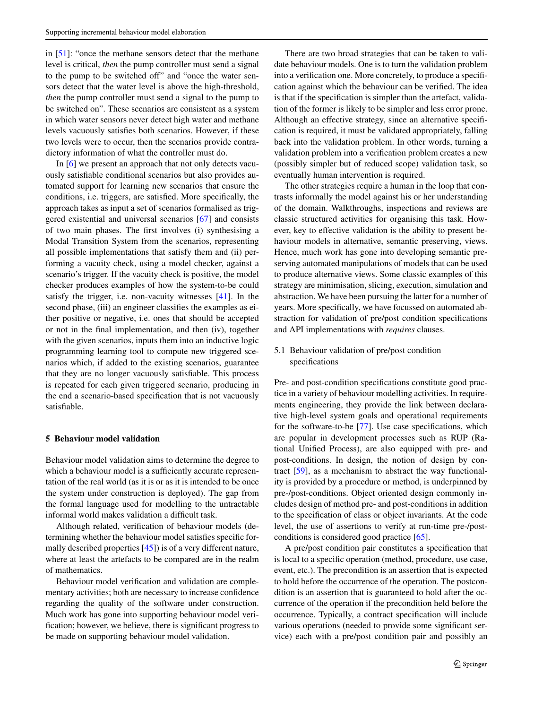in [[51\]](#page-11-33): "once the methane sensors detect that the methane level is critical, *then* the pump controller must send a signal to the pump to be switched off" and "once the water sensors detect that the water level is above the high-threshold, *then* the pump controller must send a signal to the pump to be switched on". These scenarios are consistent as a system in which water sensors never detect high water and methane levels vacuously satisfies both scenarios. However, if these two levels were to occur, then the scenarios provide contradictory information of what the controller must do.

In [[6\]](#page-10-11) we present an approach that not only detects vacuously satisfiable conditional scenarios but also provides automated support for learning new scenarios that ensure the conditions, i.e. triggers, are satisfied. More specifically, the approach takes as input a set of scenarios formalised as triggered existential and universal scenarios [[67\]](#page-12-7) and consists of two main phases. The first involves (i) synthesising a Modal Transition System from the scenarios, representing all possible implementations that satisfy them and (ii) performing a vacuity check, using a model checker, against a scenario's trigger. If the vacuity check is positive, the model checker produces examples of how the system-to-be could satisfy the trigger, i.e. non-vacuity witnesses [\[41](#page-11-37)]. In the second phase, (iii) an engineer classifies the examples as either positive or negative, i.e. ones that should be accepted or not in the final implementation, and then (iv), together with the given scenarios, inputs them into an inductive logic programming learning tool to compute new triggered scenarios which, if added to the existing scenarios, guarantee that they are no longer vacuously satisfiable. This process is repeated for each given triggered scenario, producing in the end a scenario-based specification that is not vacuously satisfiable.

## <span id="page-8-0"></span>**5 Behaviour model validation**

Behaviour model validation aims to determine the degree to which a behaviour model is a sufficiently accurate representation of the real world (as it is or as it is intended to be once the system under construction is deployed). The gap from the formal language used for modelling to the untractable informal world makes validation a difficult task.

Although related, verification of behaviour models (determining whether the behaviour model satisfies specific formally described properties [\[45](#page-11-38)]) is of a very different nature, where at least the artefacts to be compared are in the realm of mathematics.

Behaviour model verification and validation are complementary activities; both are necessary to increase confidence regarding the quality of the software under construction. Much work has gone into supporting behaviour model verification; however, we believe, there is significant progress to be made on supporting behaviour model validation.

There are two broad strategies that can be taken to validate behaviour models. One is to turn the validation problem into a verification one. More concretely, to produce a specification against which the behaviour can be verified. The idea is that if the specification is simpler than the artefact, validation of the former is likely to be simpler and less error prone. Although an effective strategy, since an alternative specification is required, it must be validated appropriately, falling back into the validation problem. In other words, turning a validation problem into a verification problem creates a new (possibly simpler but of reduced scope) validation task, so eventually human intervention is required.

The other strategies require a human in the loop that contrasts informally the model against his or her understanding of the domain. Walkthroughs, inspections and reviews are classic structured activities for organising this task. However, key to effective validation is the ability to present behaviour models in alternative, semantic preserving, views. Hence, much work has gone into developing semantic preserving automated manipulations of models that can be used to produce alternative views. Some classic examples of this strategy are minimisation, slicing, execution, simulation and abstraction. We have been pursuing the latter for a number of years. More specifically, we have focussed on automated abstraction for validation of pre/post condition specifications and API implementations with *requires* clauses.

# 5.1 Behaviour validation of pre/post condition specifications

Pre- and post-condition specifications constitute good practice in a variety of behaviour modelling activities. In requirements engineering, they provide the link between declarative high-level system goals and operational requirements for the software-to-be [\[77](#page-12-19)]. Use case specifications, which are popular in development processes such as RUP (Rational Unified Process), are also equipped with pre- and post-conditions. In design, the notion of design by contract [\[59](#page-12-20)], as a mechanism to abstract the way functionality is provided by a procedure or method, is underpinned by pre-/post-conditions. Object oriented design commonly includes design of method pre- and post-conditions in addition to the specification of class or object invariants. At the code level, the use of assertions to verify at run-time pre-/postconditions is considered good practice [\[65](#page-12-21)].

A pre/post condition pair constitutes a specification that is local to a specific operation (method, procedure, use case, event, etc.). The precondition is an assertion that is expected to hold before the occurrence of the operation. The postcondition is an assertion that is guaranteed to hold after the occurrence of the operation if the precondition held before the occurrence. Typically, a contract specification will include various operations (needed to provide some significant service) each with a pre/post condition pair and possibly an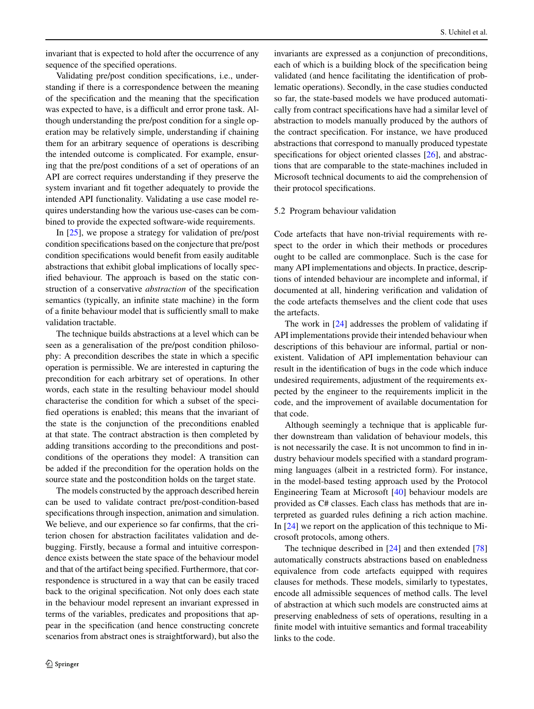invariant that is expected to hold after the occurrence of any sequence of the specified operations.

Validating pre/post condition specifications, i.e., understanding if there is a correspondence between the meaning of the specification and the meaning that the specification was expected to have, is a difficult and error prone task. Although understanding the pre/post condition for a single operation may be relatively simple, understanding if chaining them for an arbitrary sequence of operations is describing the intended outcome is complicated. For example, ensuring that the pre/post conditions of a set of operations of an API are correct requires understanding if they preserve the system invariant and fit together adequately to provide the intended API functionality. Validating a use case model requires understanding how the various use-cases can be combined to provide the expected software-wide requirements.

In [[25](#page-11-39)], we propose a strategy for validation of pre/post condition specifications based on the conjecture that pre/post condition specifications would benefit from easily auditable abstractions that exhibit global implications of locally specified behaviour. The approach is based on the static construction of a conservative *abstraction* of the specification semantics (typically, an infinite state machine) in the form of a finite behaviour model that is sufficiently small to make validation tractable.

The technique builds abstractions at a level which can be seen as a generalisation of the pre/post condition philosophy: A precondition describes the state in which a specific operation is permissible. We are interested in capturing the precondition for each arbitrary set of operations. In other words, each state in the resulting behaviour model should characterise the condition for which a subset of the specified operations is enabled; this means that the invariant of the state is the conjunction of the preconditions enabled at that state. The contract abstraction is then completed by adding transitions according to the preconditions and postconditions of the operations they model: A transition can be added if the precondition for the operation holds on the source state and the postcondition holds on the target state.

The models constructed by the approach described herein can be used to validate contract pre/post-condition-based specifications through inspection, animation and simulation. We believe, and our experience so far confirms, that the criterion chosen for abstraction facilitates validation and debugging. Firstly, because a formal and intuitive correspondence exists between the state space of the behaviour model and that of the artifact being specified. Furthermore, that correspondence is structured in a way that can be easily traced back to the original specification. Not only does each state in the behaviour model represent an invariant expressed in terms of the variables, predicates and propositions that appear in the specification (and hence constructing concrete scenarios from abstract ones is straightforward), but also the invariants are expressed as a conjunction of preconditions, each of which is a building block of the specification being validated (and hence facilitating the identification of problematic operations). Secondly, in the case studies conducted so far, the state-based models we have produced automatically from contract specifications have had a similar level of abstraction to models manually produced by the authors of the contract specification. For instance, we have produced abstractions that correspond to manually produced typestate specifications for object oriented classes [[26\]](#page-11-40), and abstractions that are comparable to the state-machines included in Microsoft technical documents to aid the comprehension of their protocol specifications.

#### 5.2 Program behaviour validation

Code artefacts that have non-trivial requirements with respect to the order in which their methods or procedures ought to be called are commonplace. Such is the case for many API implementations and objects. In practice, descriptions of intended behaviour are incomplete and informal, if documented at all, hindering verification and validation of the code artefacts themselves and the client code that uses the artefacts.

The work in [\[24](#page-11-41)] addresses the problem of validating if API implementations provide their intended behaviour when descriptions of this behaviour are informal, partial or nonexistent. Validation of API implementation behaviour can result in the identification of bugs in the code which induce undesired requirements, adjustment of the requirements expected by the engineer to the requirements implicit in the code, and the improvement of available documentation for that code.

Although seemingly a technique that is applicable further downstream than validation of behaviour models, this is not necessarily the case. It is not uncommon to find in industry behaviour models specified with a standard programming languages (albeit in a restricted form). For instance, in the model-based testing approach used by the Protocol Engineering Team at Microsoft [[40\]](#page-11-42) behaviour models are provided as C# classes. Each class has methods that are interpreted as guarded rules defining a rich action machine. In [[24\]](#page-11-41) we report on the application of this technique to Microsoft protocols, among others.

The technique described in [\[24\]](#page-11-41) and then extended [[78\]](#page-12-22) automatically constructs abstractions based on enabledness equivalence from code artefacts equipped with requires clauses for methods. These models, similarly to typestates, encode all admissible sequences of method calls. The level of abstraction at which such models are constructed aims at preserving enabledness of sets of operations, resulting in a finite model with intuitive semantics and formal traceability links to the code.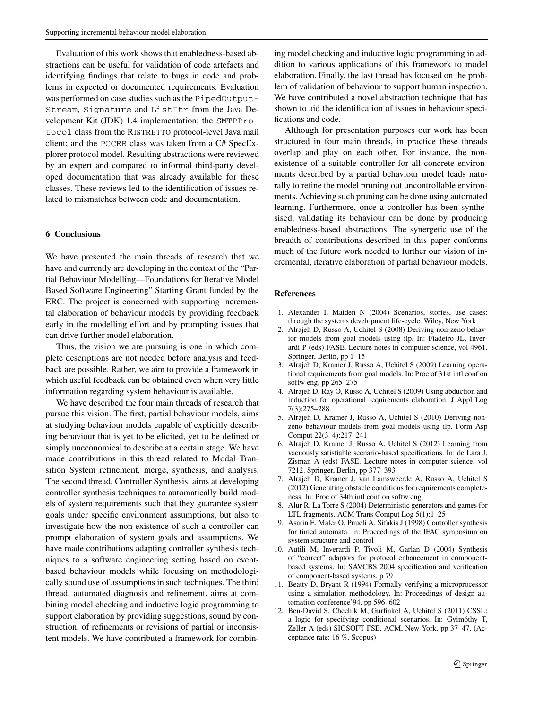Evaluation of this work shows that enabledness-based abstractions can be useful for validation of code artefacts and identifying findings that relate to bugs in code and problems in expected or documented requirements. Evaluation was performed on case studies such as the PipedOutput-Stream, Signature and ListItr from the Java Development Kit (JDK) 1.4 implementation; the SMTPProtocol class from the RISTRETTO protocol-level Java mail client; and the PCCRR class was taken from a C# SpecExplorer protocol model. Resulting abstractions were reviewed by an expert and compared to informal third-party developed documentation that was already available for these classes. These reviews led to the identification of issues related to mismatches between code and documentation.

## **6 Conclusions**

We have presented the main threads of research that we have and currently are developing in the context of the "Partial Behaviour Modelling—Foundations for Iterative Model Based Software Engineering" Starting Grant funded by the ERC. The project is concerned with supporting incremental elaboration of behaviour models by providing feedback early in the modelling effort and by prompting issues that can drive further model elaboration.

Thus, the vision we are pursuing is one in which complete descriptions are not needed before analysis and feedback are possible. Rather, we aim to provide a framework in which useful feedback can be obtained even when very little information regarding system behaviour is available.

We have described the four main threads of research that pursue this vision. The first, partial behaviour models, aims at studying behaviour models capable of explicitly describing behaviour that is yet to be elicited, yet to be defined or simply uneconomical to describe at a certain stage. We have made contributions in this thread related to Modal Transition System refinement, merge, synthesis, and analysis. The second thread, Controller Synthesis, aims at developing controller synthesis techniques to automatically build models of system requirements such that they guarantee system goals under specific environment assumptions, but also to investigate how the non-existence of such a controller can prompt elaboration of system goals and assumptions. We have made contributions adapting controller synthesis techniques to a software engineering setting based on eventbased behaviour models while focusing on methodologically sound use of assumptions in such techniques. The third thread, automated diagnosis and refinement, aims at combining model checking and inductive logic programming to support elaboration by providing suggestions, sound by construction, of refinements or revisions of partial or inconsistent models. We have contributed a framework for combining model checking and inductive logic programming in addition to various applications of this framework to model elaboration. Finally, the last thread has focused on the problem of validation of behaviour to support human inspection. We have contributed a novel abstraction technique that has shown to aid the identification of issues in behaviour specifications and code.

Although for presentation purposes our work has been structured in four main threads, in practice these threads overlap and play on each other. For instance, the nonexistence of a suitable controller for all concrete environments described by a partial behaviour model leads naturally to refine the model pruning out uncontrollable environments. Achieving such pruning can be done using automated learning. Furthermore, once a controller has been synthesised, validating its behaviour can be done by producing enabledness-based abstractions. The synergetic use of the breadth of contributions described in this paper conforms much of the future work needed to further our vision of incremental, iterative elaboration of partial behaviour models.

## <span id="page-10-9"></span><span id="page-10-6"></span><span id="page-10-5"></span><span id="page-10-4"></span>**References**

- 1. Alexander I, Maiden N (2004) Scenarios, stories, use cases: through the systems development life-cycle. Wiley, New York
- <span id="page-10-7"></span>2. Alrajeh D, Russo A, Uchitel S (2008) Deriving non-zeno behavior models from goal models using ilp. In: Fiadeiro JL, Inverardi P (eds) FASE. Lecture notes in computer science, vol 4961. Springer, Berlin, pp 1–15
- <span id="page-10-11"></span>3. Alrajeh D, Kramer J, Russo A, Uchitel S (2009) Learning operational requirements from goal models. In: Proc of 31st intl conf on softw eng, pp 265–275
- <span id="page-10-8"></span>4. Alrajeh D, Ray O, Russo A, Uchitel S (2009) Using abduction and induction for operational requirements elaboration. J Appl Log 7(3):275–288
- <span id="page-10-2"></span>5. Alrajeh D, Kramer J, Russo A, Uchitel S (2010) Deriving nonzeno behaviour models from goal models using ilp. Form Asp Comput 22(3–4):217–241
- <span id="page-10-3"></span>6. Alrajeh D, Kramer J, Russo A, Uchitel S (2012) Learning from vacuously satisfiable scenario-based specifications. In: de Lara J, Zisman A (eds) FASE. Lecture notes in computer science, vol 7212. Springer, Berlin, pp 377–393
- <span id="page-10-1"></span>7. Alrajeh D, Kramer J, van Lamsweerde A, Russo A, Uchitel S (2012) Generating obstacle conditions for requirements completeness. In: Proc of 34th intl conf on softw eng
- <span id="page-10-10"></span>8. Alur R, La Torre S (2004) Deterministic generators and games for LTL fragments. ACM Trans Comput Log 5(1):1–25
- 9. Asarin E, Maler O, Pnueli A, Sifakis J (1998) Controller synthesis for timed automata. In: Proceedings of the IFAC symposium on system structure and control
- <span id="page-10-0"></span>10. Autili M, Inverardi P, Tivoli M, Garlan D (2004) Synthesis of "correct" adaptors for protocol enhancement in componentbased systems. In: SAVCBS 2004 specification and verification of component-based systems, p 79
- 11. Beatty D, Bryant R (1994) Formally verifying a microprocessor using a simulation methodology. In: Proceedings of design automation conference'94, pp 596–602
- 12. Ben-David S, Chechik M, Gurfinkel A, Uchitel S (2011) CSSL: a logic for specifying conditional scenarios. In: Gyimóthy T, Zeller A (eds) SIGSOFT FSE. ACM, New York, pp 37–47. (Acceptance rate: 16 %. Scopus)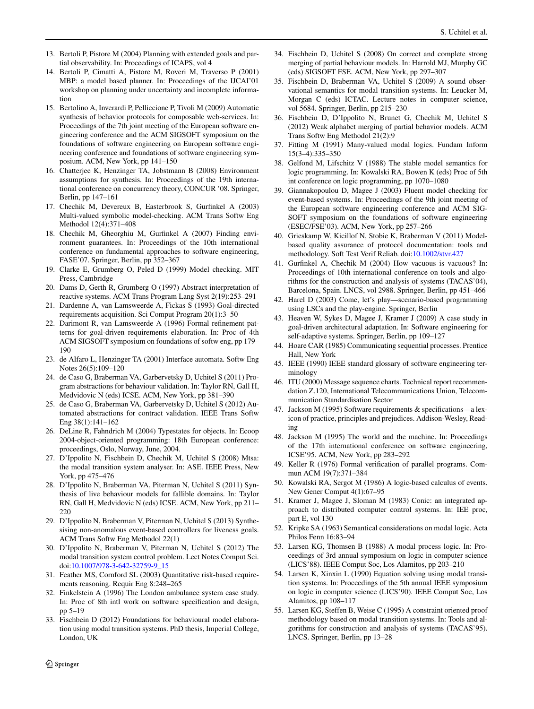- <span id="page-11-24"></span><span id="page-11-20"></span><span id="page-11-17"></span>13. Bertoli P, Pistore M (2004) Planning with extended goals and partial observability. In: Proceedings of ICAPS, vol 4
- <span id="page-11-18"></span>14. Bertoli P, Cimatti A, Pistore M, Roveri M, Traverso P (2001) MBP: a model based planner. In: Proceedings of the IJCAI'01 workshop on planning under uncertainty and incomplete information
- <span id="page-11-7"></span>15. Bertolino A, Inverardi P, Pelliccione P, Tivoli M (2009) Automatic synthesis of behavior protocols for composable web-services. In: Proceedings of the 7th joint meeting of the European software engineering conference and the ACM SIGSOFT symposium on the foundations of software engineering on European software engineering conference and foundations of software engineering symposium. ACM, New York, pp 141–150
- <span id="page-11-29"></span><span id="page-11-19"></span>16. Chatterjee K, Henzinger TA, Jobstmann B (2008) Environment assumptions for synthesis. In: Proceedings of the 19th international conference on concurrency theory, CONCUR '08. Springer, Berlin, pp 147–161
- <span id="page-11-6"></span>17. Chechik M, Devereux B, Easterbrook S, Gurfinkel A (2003) Multi-valued symbolic model-checking. ACM Trans Softw Eng Methodol 12(4):371–408
- <span id="page-11-36"></span><span id="page-11-34"></span>18. Chechik M, Gheorghiu M, Gurfinkel A (2007) Finding environment guarantees. In: Proceedings of the 10th international conference on fundamental approaches to software engineering, FASE'07. Springer, Berlin, pp 352–367
- 19. Clarke E, Grumberg O, Peled D (1999) Model checking. MIT Press, Cambridge
- <span id="page-11-41"></span><span id="page-11-4"></span>20. Dams D, Gerth R, Grumberg O (1997) Abstract interpretation of reactive systems. ACM Trans Program Lang Syst 2(19):253–291
- 21. Dardenne A, van Lamsweerde A, Fickas S (1993) Goal-directed requirements acquisition. Sci Comput Program 20(1):3–50
- <span id="page-11-39"></span>22. Darimont R, van Lamsweerde A (1996) Formal refinement patterns for goal-driven requirements elaboration. In: Proc of 4th ACM SIGSOFT symposium on foundations of softw eng, pp 179– 190
- <span id="page-11-40"></span>23. de Alfaro L, Henzinger TA (2001) Interface automata. Softw Eng Notes 26(5):109–120
- <span id="page-11-15"></span>24. de Caso G, Braberman VA, Garbervetsky D, Uchitel S (2011) Program abstractions for behaviour validation. In: Taylor RN, Gall H, Medvidovic N (eds) ICSE. ACM, New York, pp 381–390
- <span id="page-11-23"></span>25. de Caso G, Braberman VA, Garbervetsky D, Uchitel S (2012) Automated abstractions for contract validation. IEEE Trans Softw Eng 38(1):141–162
- <span id="page-11-22"></span>26. DeLine R, Fahndrich M (2004) Typestates for objects. In: Ecoop 2004-object-oriented programming: 18th European conference: proceedings, Oslo, Norway, June, 2004.
- <span id="page-11-27"></span>27. D'Ippolito N, Fischbein D, Chechik M, Uchitel S (2008) Mtsa: the modal transition system analyser. In: ASE. IEEE Press, New York, pp 475–476
- <span id="page-11-35"></span>28. D'Ippolito N, Braberman VA, Piterman N, Uchitel S (2011) Synthesis of live behaviour models for fallible domains. In: Taylor RN, Gall H, Medvidovic N (eds) ICSE. ACM, New York, pp 211– 220
- <span id="page-11-32"></span>29. D'Ippolito N, Braberman V, Piterman N, Uchitel S (2013) Synthesising non-anomalous event-based controllers for liveness goals. ACM Trans Softw Eng Methodol 22(1)
- <span id="page-11-9"></span>30. D'Ippolito N, Braberman V, Piterman N, Uchitel S (2012) The modal transition system control problem. Lect Notes Comput Sci. doi:[10.1007/978-3-642-32759-9\\_15](http://dx.doi.org/10.1007/978-3-642-32759-9_15)
- 31. Feather MS, Cornford SL (2003) Quantitative risk-based requirements reasoning. Requir Eng 8:248–265
- 32. Finkelstein A (1996) The London ambulance system case study. In: Proc of 8th intl work on software specification and design, pp 5–19
- 33. Fischbein D (2012) Foundations for behavioural model elaboration using modal transition systems. PhD thesis, Imperial College, London, UK
- <span id="page-11-26"></span><span id="page-11-12"></span><span id="page-11-10"></span><span id="page-11-8"></span>34. Fischbein D, Uchitel S (2008) On correct and complete strong merging of partial behaviour models. In: Harrold MJ, Murphy GC (eds) SIGSOFT FSE. ACM, New York, pp 297–307
- <span id="page-11-31"></span>35. Fischbein D, Braberman VA, Uchitel S (2009) A sound observational semantics for modal transition systems. In: Leucker M, Morgan C (eds) ICTAC. Lecture notes in computer science, vol 5684. Springer, Berlin, pp 215–230
- <span id="page-11-28"></span>36. Fischbein D, D'Ippolito N, Brunet G, Chechik M, Uchitel S (2012) Weak alphabet merging of partial behavior models. ACM Trans Softw Eng Methodol 21(2):9
- <span id="page-11-42"></span>37. Fitting M (1991) Many-valued modal logics. Fundam Inform 15(3–4):335–350
- 38. Gelfond M, Lifschitz V (1988) The stable model semantics for logic programming. In: Kowalski RA, Bowen K (eds) Proc of 5th int conference on logic programming, pp 1070–1080
- <span id="page-11-37"></span>39. Giannakopoulou D, Magee J (2003) Fluent model checking for event-based systems. In: Proceedings of the 9th joint meeting of the European software engineering conference and ACM SIG-SOFT symposium on the foundations of software engineering (ESEC/FSE'03). ACM, New York, pp 257–266
- <span id="page-11-21"></span><span id="page-11-14"></span>40. Grieskamp W, Kicillof N, Stobie K, Braberman V (2011) Modelbased quality assurance of protocol documentation: tools and methodology. Soft Test Verif Reliab. doi[:10.1002/stvr.427](http://dx.doi.org/10.1002/stvr.427)
- <span id="page-11-38"></span><span id="page-11-2"></span>41. Gurfinkel A, Chechik M (2004) How vacuous is vacuous? In: Proceedings of 10th international conference on tools and algorithms for the construction and analysis of systems (TACAS'04), Barcelona, Spain. LNCS, vol 2988. Springer, Berlin, pp 451–466
- <span id="page-11-1"></span>42. Harel D (2003) Come, let's play—scenario-based programming using LSCs and the play-engine. Springer, Berlin
- <span id="page-11-0"></span>43. Heaven W, Sykes D, Magee J, Kramer J (2009) A case study in goal-driven architectural adaptation. In: Software engineering for self-adaptive systems. Springer, Berlin, pp 109–127
- <span id="page-11-16"></span>44. Hoare CAR (1985) Communicating sequential processes. Prentice Hall, New York
- 45. IEEE (1990) IEEE standard glossary of software engineering terminology
- <span id="page-11-25"></span>46. ITU (2000) Message sequence charts. Technical report recommendation Z.120, International Telecommunications Union, Telecommunication Standardisation Sector
- <span id="page-11-33"></span><span id="page-11-30"></span>47. Jackson M (1995) Software requirements & specifications—a lexicon of practice, principles and prejudices. Addison-Wesley, Reading
- <span id="page-11-3"></span>48. Jackson M (1995) The world and the machine. In: Proceedings of the 17th international conference on software engineering, ICSE'95. ACM, New York, pp 283–292
- <span id="page-11-5"></span>49. Keller R (1976) Formal verification of parallel programs. Commun ACM 19(7):371–384
- 50. Kowalski RA, Sergot M (1986) A logic-based calculus of events. New Gener Comput 4(1):67–95
- <span id="page-11-13"></span>51. Kramer J, Magee J, Sloman M (1983) Conic: an integrated approach to distributed computer control systems. In: IEE proc, part E, vol 130
- <span id="page-11-11"></span>52. Kripke SA (1963) Semantical considerations on modal logic. Acta Philos Fenn 16:83–94
- 53. Larsen KG, Thomsen B (1988) A modal process logic. In: Proceedings of 3rd annual symposium on logic in computer science (LICS'88). IEEE Comput Soc, Los Alamitos, pp 203–210
- 54. Larsen K, Xinxin L (1990) Equation solving using modal transition systems. In: Proceedings of the 5th annual IEEE symposium on logic in computer science (LICS'90). IEEE Comput Soc, Los Alamitos, pp 108–117
- 55. Larsen KG, Steffen B, Weise C (1995) A constraint oriented proof methodology based on modal transition systems. In: Tools and algorithms for construction and analysis of systems (TACAS'95). LNCS. Springer, Berlin, pp 13–28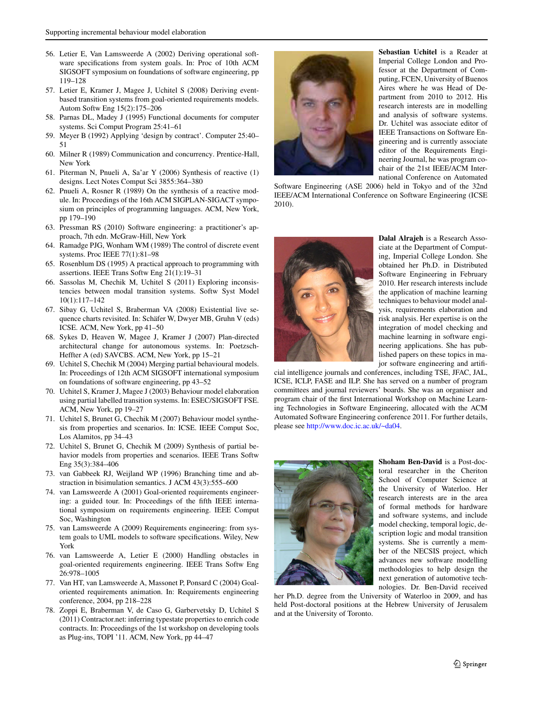- <span id="page-12-20"></span><span id="page-12-17"></span><span id="page-12-15"></span><span id="page-12-11"></span><span id="page-12-0"></span>56. Letier E, Van Lamsweerde A (2002) Deriving operational software specifications from system goals. In: Proc of 10th ACM SIGSOFT symposium on foundations of software engineering, pp 119–128
- <span id="page-12-14"></span>57. Letier E, Kramer J, Magee J, Uchitel S (2008) Deriving eventbased transition systems from goal-oriented requirements models. Autom Softw Eng 15(2):175–206
- <span id="page-12-8"></span>58. Parnas DL, Madey J (1995) Functional documents for computer systems. Sci Comput Program 25:41–61
- <span id="page-12-18"></span>59. Meyer B (1992) Applying 'design by contract'. Computer 25:40– 51
- <span id="page-12-9"></span>60. Milner R (1989) Communication and concurrency. Prentice-Hall, New York
- 61. Piterman N, Pnueli A, Sa'ar Y (2006) Synthesis of reactive (1) designs. Lect Notes Comput Sci 3855:364–380
- <span id="page-12-21"></span><span id="page-12-4"></span>62. Pnueli A, Rosner R (1989) On the synthesis of a reactive module. In: Proceedings of the 16th ACM SIGPLAN-SIGACT symposium on principles of programming languages. ACM, New York, pp 179–190
- <span id="page-12-7"></span>63. Pressman RS (2010) Software engineering: a practitioner's approach, 7th edn. McGraw-Hill, New York
- <span id="page-12-10"></span>64. Ramadge PJG, Wonham WM (1989) The control of discrete event systems. Proc IEEE 77(1):81–98
- 65. Rosenblum DS (1995) A practical approach to programming with assertions. IEEE Trans Softw Eng 21(1):19–31
- <span id="page-12-2"></span>66. Sassolas M, Chechik M, Uchitel S (2011) Exploring inconsistencies between modal transition systems. Softw Syst Model 10(1):117–142
- <span id="page-12-1"></span>67. Sibay G, Uchitel S, Braberman VA (2008) Existential live sequence charts revisited. In: Schäfer W, Dwyer MB, Gruhn V (eds) ICSE. ACM, New York, pp 41–50
- <span id="page-12-5"></span>68. Sykes D, Heaven W, Magee J, Kramer J (2007) Plan-directed architectural change for autonomous systems. In: Poetzsch-Heffter A (ed) SAVCBS. ACM, New York, pp 15–21
- <span id="page-12-6"></span>69. Uchitel S, Chechik M (2004) Merging partial behavioural models. In: Proceedings of 12th ACM SIGSOFT international symposium on foundations of software engineering, pp 43–52
- <span id="page-12-3"></span>70. Uchitel S, Kramer J, Magee J (2003) Behaviour model elaboration using partial labelled transition systems. In: ESEC/SIGSOFT FSE. ACM, New York, pp 19–27
- <span id="page-12-12"></span>71. Uchitel S, Brunet G, Chechik M (2007) Behaviour model synthesis from properties and scenarios. In: ICSE. IEEE Comput Soc, Los Alamitos, pp 34–43
- <span id="page-12-16"></span>72. Uchitel S, Brunet G, Chechik M (2009) Synthesis of partial behavior models from properties and scenarios. IEEE Trans Softw Eng 35(3):384–406
- <span id="page-12-13"></span>73. van Gabbeek RJ, Weijland WP (1996) Branching time and abstraction in bisimulation semantics. J ACM 43(3):555–600
- <span id="page-12-19"></span>74. van Lamsweerde A (2001) Goal-oriented requirements engineering: a guided tour. In: Proceedings of the fifth IEEE international symposium on requirements engineering. IEEE Comput Soc, Washington
- <span id="page-12-22"></span>75. van Lamsweerde A (2009) Requirements engineering: from system goals to UML models to software specifications. Wiley, New York
- 76. van Lamsweerde A, Letier E (2000) Handling obstacles in goal-oriented requirements engineering. IEEE Trans Softw Eng 26:978–1005
- 77. Van HT, van Lamsweerde A, Massonet P, Ponsard C (2004) Goaloriented requirements animation. In: Requirements engineering conference, 2004, pp 218–228
- 78. Zoppi E, Braberman V, de Caso G, Garbervetsky D, Uchitel S (2011) Contractor.net: inferring typestate properties to enrich code contracts. In: Proceedings of the 1st workshop on developing tools as Plug-ins, TOPI '11. ACM, New York, pp 44–47



**Sebastian Uchitel** is a Reader at Imperial College London and Professor at the Department of Computing, FCEN, University of Buenos Aires where he was Head of Department from 2010 to 2012. His research interests are in modelling and analysis of software systems. Dr. Uchitel was associate editor of IEEE Transactions on Software Engineering and is currently associate editor of the Requirements Engineering Journal, he was program cochair of the 21st IEEE/ACM International Conference on Automated

Software Engineering (ASE 2006) held in Tokyo and of the 32nd IEEE/ACM International Conference on Software Engineering (ICSE 2010).



**Dalal Alrajeh** is a Research Associate at the Department of Computing, Imperial College London. She obtained her Ph.D. in Distributed Software Engineering in February 2010. Her research interests include the application of machine learning techniques to behaviour model analysis, requirements elaboration and risk analysis. Her expertise is on the integration of model checking and machine learning in software engineering applications. She has published papers on these topics in major software engineering and artifi-

cial intelligence journals and conferences, including TSE, JFAC, JAL, ICSE, ICLP, FASE and ILP. She has served on a number of program committees and journal reviewers' boards. She was an organiser and program chair of the first International Workshop on Machine Learning Technologies in Software Engineering, allocated with the ACM Automated Software Engineering conference 2011. For further details, please see <http://www.doc.ic.ac.uk/~da04>.



**Shoham Ben-David** is a Post-doctoral researcher in the Cheriton School of Computer Science at the University of Waterloo. Her research interests are in the area of formal methods for hardware and software systems, and include model checking, temporal logic, description logic and modal transition systems. She is currently a member of the NECSIS project, which advances new software modelling methodologies to help design the next generation of automotive technologies. Dr. Ben-David received

her Ph.D. degree from the University of Waterloo in 2009, and has held Post-doctoral positions at the Hebrew University of Jerusalem and at the University of Toronto.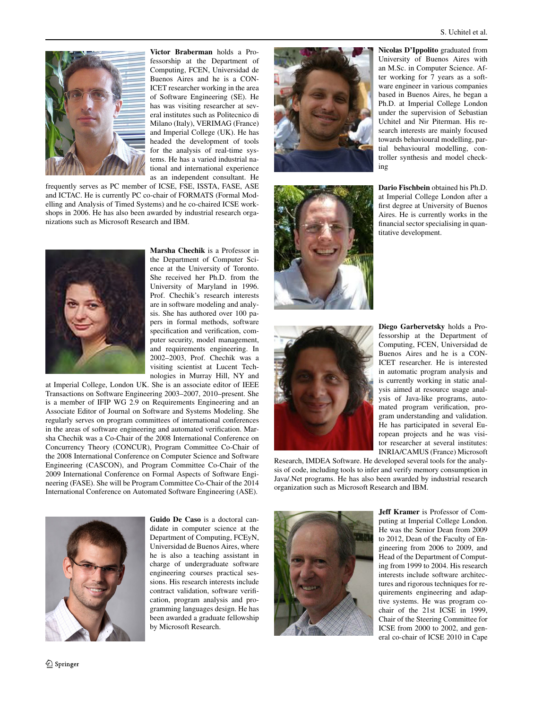

**Victor Braberman** holds a Professorship at the Department of Computing, FCEN, Universidad de Buenos Aires and he is a CON-ICET researcher working in the area of Software Engineering (SE). He has was visiting researcher at several institutes such as Politecnico di Milano (Italy), VERIMAG (France) and Imperial College (UK). He has headed the development of tools for the analysis of real-time systems. He has a varied industrial national and international experience as an independent consultant. He

frequently serves as PC member of ICSE, FSE, ISSTA, FASE, ASE and ICTAC. He is currently PC co-chair of FORMATS (Formal Modelling and Analysis of Timed Systems) and he co-chaired ICSE workshops in 2006. He has also been awarded by industrial research organizations such as Microsoft Research and IBM.



**Marsha Chechik** is a Professor in the Department of Computer Science at the University of Toronto. She received her Ph.D. from the University of Maryland in 1996. Prof. Chechik's research interests are in software modeling and analysis. She has authored over 100 papers in formal methods, software specification and verification, computer security, model management, and requirements engineering. In 2002–2003, Prof. Chechik was a visiting scientist at Lucent Technologies in Murray Hill, NY and

at Imperial College, London UK. She is an associate editor of IEEE Transactions on Software Engineering 2003–2007, 2010–present. She is a member of IFIP WG 2.9 on Requirements Engineering and an Associate Editor of Journal on Software and Systems Modeling. She regularly serves on program committees of international conferences in the areas of software engineering and automated verification. Marsha Chechik was a Co-Chair of the 2008 International Conference on Concurrency Theory (CONCUR), Program Committee Co-Chair of the 2008 International Conference on Computer Science and Software Engineering (CASCON), and Program Committee Co-Chair of the 2009 International Conference on Formal Aspects of Software Engineering (FASE). She will be Program Committee Co-Chair of the 2014 International Conference on Automated Software Engineering (ASE).





**Nicolas D'Ippolito** graduated from University of Buenos Aires with an M.Sc. in Computer Science. After working for 7 years as a software engineer in various companies based in Buenos Aires, he began a Ph.D. at Imperial College London under the supervision of Sebastian Uchitel and Nir Piterman. His research interests are mainly focused towards behavioural modelling, partial behavioural modelling, controller synthesis and model checking

**Dario Fischbein** obtained his Ph.D. at Imperial College London after a first degree at University of Buenos Aires. He is currently works in the financial sector specialising in quantitative development.

**Diego Garbervetsky** holds a Professorship at the Department of Computing, FCEN, Universidad de Buenos Aires and he is a CON-ICET researcher. He is interested in automatic program analysis and is currently working in static analysis aimed at resource usage analysis of Java-like programs, automated program verification, program understanding and validation. He has participated in several European projects and he was visitor researcher at several institutes: INRIA/CAMUS (France) Microsoft

Research, IMDEA Software. He developed several tools for the analysis of code, including tools to infer and verify memory consumption in Java/.Net programs. He has also been awarded by industrial research organization such as Microsoft Research and IBM.



**Guido De Caso** is a doctoral candidate in computer science at the Department of Computing, FCEyN, Universidad de Buenos Aires, where he is also a teaching assistant in charge of undergraduate software engineering courses practical sessions. His research interests include contract validation, software verification, program analysis and programming languages design. He has been awarded a graduate fellowship by Microsoft Research.



**Jeff Kramer** is Professor of Computing at Imperial College London. He was the Senior Dean from 2009 to 2012, Dean of the Faculty of Engineering from 2006 to 2009, and Head of the Department of Computing from 1999 to 2004. His research interests include software architectures and rigorous techniques for requirements engineering and adaptive systems. He was program cochair of the 21st ICSE in 1999, Chair of the Steering Committee for ICSE from 2000 to 2002, and general co-chair of ICSE 2010 in Cape